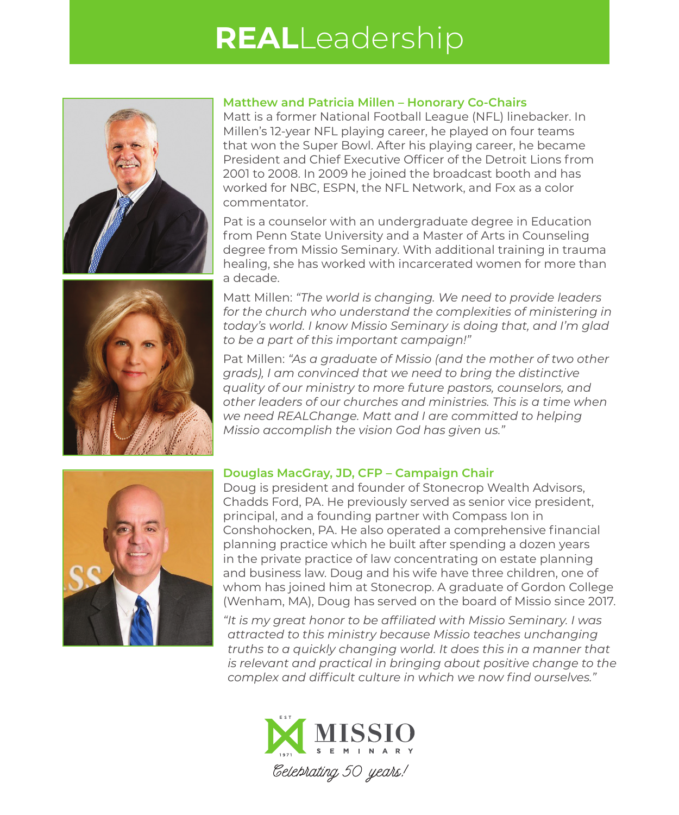## **REAL**Leadership





## **Matthew and Patricia Millen – Honorary Co-Chairs**

Matt is a former National Football League (NFL) linebacker. In Millen's 12-year NFL playing career, he played on four teams that won the Super Bowl. After his playing career, he became President and Chief Executive Officer of the Detroit Lions from 2001 to 2008. In 2009 he joined the broadcast booth and has worked for NBC, ESPN, the NFL Network, and Fox as a color commentator.

Pat is a counselor with an undergraduate degree in Education from Penn State University and a Master of Arts in Counseling degree from Missio Seminary. With additional training in trauma healing, she has worked with incarcerated women for more than a decade.

Matt Millen: *"The world is changing. We need to provide leaders for the church who understand the complexities of ministering in today's world. I know Missio Seminary is doing that, and I'm glad to be a part of this important campaign!"*

Pat Millen: *"As a graduate of Missio (and the mother of two other grads), I am convinced that we need to bring the distinctive quality of our ministry to more future pastors, counselors, and other leaders of our churches and ministries. This is a time when we need REALChange. Matt and I are committed to helping Missio accomplish the vision God has given us."*



## **Douglas MacGray, JD, CFP – Campaign Chair**

Doug is president and founder of Stonecrop Wealth Advisors, Chadds Ford, PA. He previously served as senior vice president, principal, and a founding partner with Compass Ion in Conshohocken, PA. He also operated a comprehensive financial planning practice which he built after spending a dozen years in the private practice of law concentrating on estate planning and business law. Doug and his wife have three children, one of whom has joined him at Stonecrop. A graduate of Gordon College (Wenham, MA), Doug has served on the board of Missio since 2017.

*"It is my great honor to be affiliated with Missio Seminary. I was attracted to this ministry because Missio teaches unchanging truths to a quickly changing world. It does this in a manner that is relevant and practical in bringing about positive change to the complex and difficult culture in which we now find ourselves."*